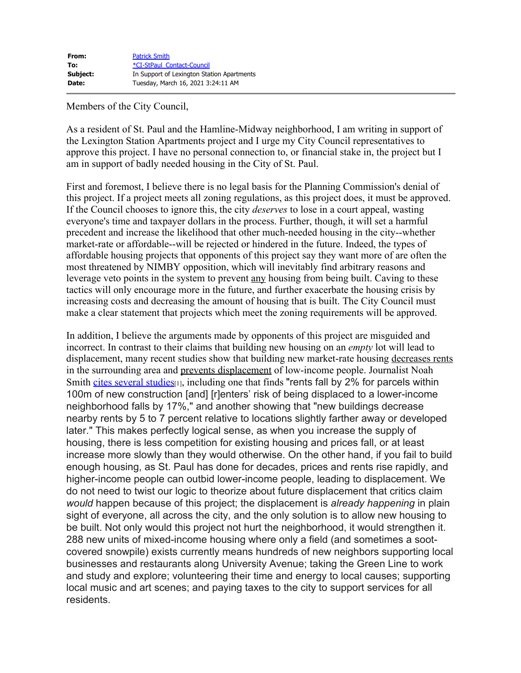Members of the City Council,

As a resident of St. Paul and the Hamline-Midway neighborhood, I am writing in support of the Lexington Station Apartments project and I urge my City Council representatives to approve this project. I have no personal connection to, or financial stake in, the project but I am in support of badly needed housing in the City of St. Paul.

First and foremost, I believe there is no legal basis for the Planning Commission's denial of this project. If a project meets all zoning regulations, as this project does, it must be approved. If the Council chooses to ignore this, the city *deserves* to lose in a court appeal, wasting everyone's time and taxpayer dollars in the process. Further, though, it will set a harmful precedent and increase the likelihood that other much-needed housing in the city--whether market-rate or affordable--will be rejected or hindered in the future. Indeed, the types of affordable housing projects that opponents of this project say they want more of are often the most threatened by NIMBY opposition, which will inevitably find arbitrary reasons and leverage veto points in the system to prevent <u>any</u> housing from being built. Caving to these tactics will only encourage more in the future, and further exacerbate the housing crisis by increasing costs and decreasing the amount of housing that is built. The City Council must make a clear statement that projects which meet the zoning requirements will be approved.

In addition, I believe the arguments made by opponents of this project are misguided and incorrect. In contrast to their claims that building new housing on an *empty* lot will lead to displacement, many recent studies show that building new market-rate housing decreases rents in the surrounding area and prevents displacement of low-income people. Journalist Noah Smith cites several studies<sup>[1]</sup>, including one that finds "rents fall by 2% for parcels within 100m of new construction [and] [r]enters' risk of being displaced to a lower-income neighborhood falls by 17%," and another showing that "new buildings decrease nearby rents by 5 to 7 percent relative to locations slightly farther away or developed later." This makes perfectly logical sense, as when you increase the supply of housing, there is less competition for existing housing and prices fall, or at least increase more slowly than they would otherwise. On the other hand, if you fail to build enough housing, as St. Paul has done for decades, prices and rents rise rapidly, and higher-income people can outbid lower-income people, leading to displacement. We do not need to twist our logic to theorize about future displacement that critics claim *would* happen because of this project; the displacement is *already happening* in plain sight of everyone, all across the city, and the only solution is to allow new housing to be built. Not only would this project not hurt the neighborhood, it would strengthen it. 288 new units of mixed-income housing where only a field (and sometimes a sootcovered snowpile) exists currently means hundreds of new neighbors supporting local businesses and restaurants along University Avenue; taking the Green Line to work and study and explore; volunteering their time and energy to local causes; supporting local music and art scenes; and paying taxes to the city to support services for all residents.